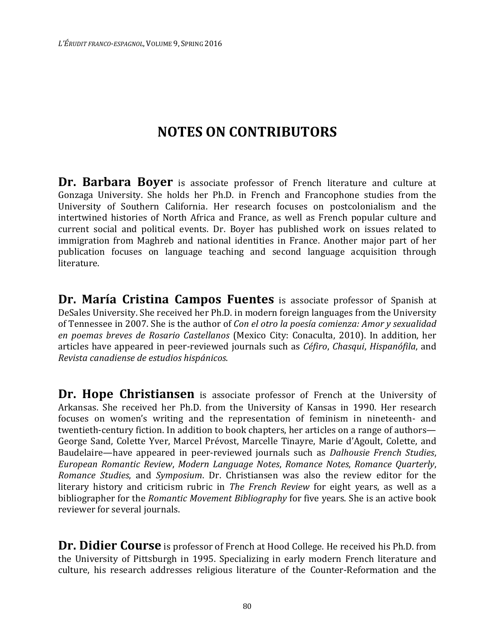## **NOTES ON CONTRIBUTORS**

**Dr. Barbara Boyer** is associate professor of French literature and culture at Gonzaga University. She holds her Ph.D. in French and Francophone studies from the University of Southern California. Her research focuses on postcolonialism and the intertwined histories of North Africa and France, as well as French popular culture and current social and political events. Dr. Boyer has published work on issues related to immigration from Maghreb and national identities in France. Another major part of her publication focuses on language teaching and second language acquisition through literature.

**Dr. María Cristina Campos Fuentes** is associate professor of Spanish at DeSales University. She received her Ph.D. in modern foreign languages from the University of Tennessee in 2007. She is the author of *Con el otro la poesía comienza: Amor y sexualidad en poemas breves de Rosario Castellanos* (Mexico City: Conaculta, 2010). In addition, her articles have appeared in peer-reviewed journals such as *Céfiro*, *Chasqui*, *Hispanófila*, and *Revista canadiense de estudios hispánicos*.

**Dr. Hope Christiansen** is associate professor of French at the University of Arkansas. She received her Ph.D. from the University of Kansas in 1990. Her research focuses on women's writing and the representation of feminism in nineteenth- and twentieth-century fiction. In addition to book chapters, her articles on a range of authors— George Sand, Colette Yver, Marcel Prévost, Marcelle Tinayre, Marie d'Agoult, Colette, and Baudelaire—have appeared in peer-reviewed journals such as *Dalhousie French Studies*, *European Romantic Review*, *Modern Language Notes*, *Romance Notes*, *Romance Quarterly*, *Romance Studies*, and *Symposium*. Dr. Christiansen was also the review editor for the literary history and criticism rubric in *The French Review* for eight years, as well as a bibliographer for the *Romantic Movement Bibliography* for five years. She is an active book reviewer for several journals.

**Dr. Didier Course** is professor of French at Hood College. He received his Ph.D. from the University of Pittsburgh in 1995. Specializing in early modern French literature and culture, his research addresses religious literature of the Counter-Reformation and the